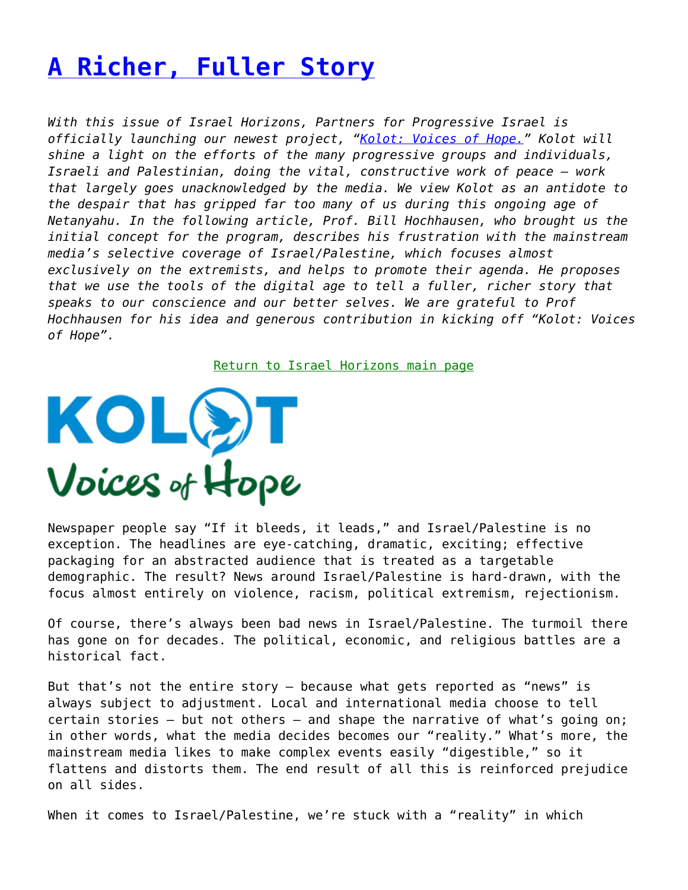## **[A Richer, Fuller Story](https://www.progressiveisrael.org/a-richer-fuller-story/)**

*With this issue of Israel Horizons, Partners for Progressive Israel is officially launching our newest project, "[Kolot: Voices of Hope.](https://www.progressiveisrael.org/what-we-do/kolot-voices-of-hope/)" Kolot will shine a light on the efforts of the many progressive groups and individuals, Israeli and Palestinian, doing the vital, constructive work of peace – work that largely goes unacknowledged by the media. We view Kolot as an antidote to the despair that has gripped far too many of us during this ongoing age of Netanyahu. In the following article, Prof. Bill Hochhausen, who brought us the initial concept for the program, describes his frustration with the mainstream media's selective coverage of Israel/Palestine, which focuses almost exclusively on the extremists, and helps to promote their agenda. He proposes that we use the tools of the digital age to tell a fuller, richer story that speaks to our conscience and our better selves. We are grateful to Prof Hochhausen for his idea and generous contribution in kicking off "Kolot: Voices of Hope".*

[Return to Israel Horizons main page](https://www.progressiveisrael.org/what-we-do/israel-horizons/)



Newspaper people say "If it bleeds, it leads," and Israel/Palestine is no exception. The headlines are eye-catching, dramatic, exciting; effective packaging for an abstracted audience that is treated as a targetable demographic. The result? News around Israel/Palestine is hard-drawn, with the focus almost entirely on violence, racism, political extremism, rejectionism.

Of course, there's always been bad news in Israel/Palestine. The turmoil there has gone on for decades. The political, economic, and religious battles are a historical fact.

But that's not the entire story — because what gets reported as "news" is always subject to adjustment. Local and international media choose to tell certain stories — but not others — and shape the narrative of what's going on; in other words, what the media decides becomes our "reality." What's more, the mainstream media likes to make complex events easily "digestible," so it flattens and distorts them. The end result of all this is reinforced prejudice on all sides.

When it comes to Israel/Palestine, we're stuck with a "reality" in which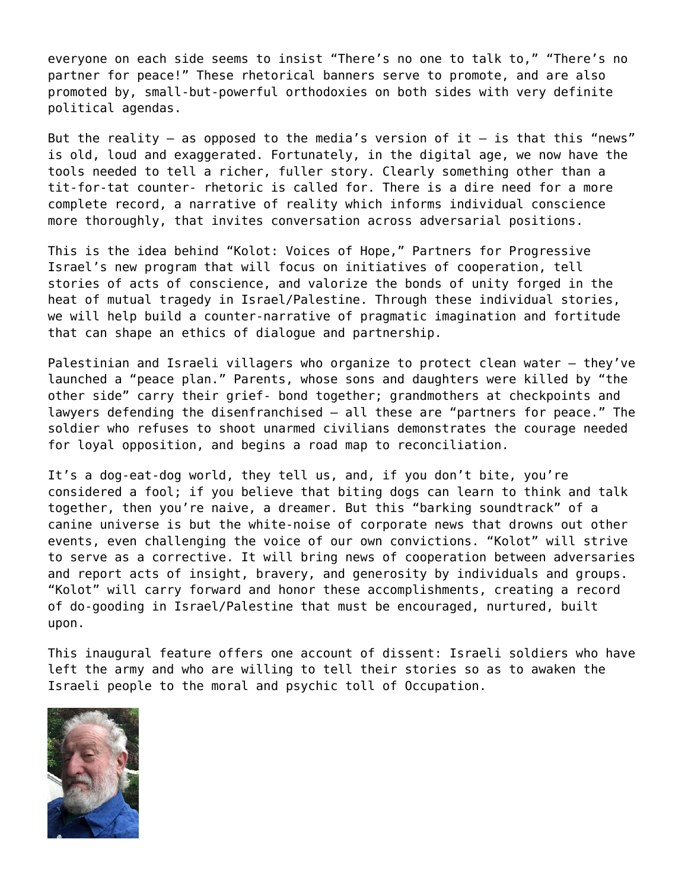everyone on each side seems to insist "There's no one to talk to," "There's no partner for peace!" These rhetorical banners serve to promote, and are also promoted by, small-but-powerful orthodoxies on both sides with very definite political agendas.

But the reality  $-$  as opposed to the media's version of it  $-$  is that this "news" is old, loud and exaggerated. Fortunately, in the digital age, we now have the tools needed to tell a richer, fuller story. Clearly something other than a tit-for-tat counter- rhetoric is called for. There is a dire need for a more complete record, a narrative of reality which informs individual conscience more thoroughly, that invites conversation across adversarial positions.

This is the idea behind "Kolot: Voices of Hope," Partners for Progressive Israel's new program that will focus on initiatives of cooperation, tell stories of acts of conscience, and valorize the bonds of unity forged in the heat of mutual tragedy in Israel/Palestine. Through these individual stories, we will help build a counter-narrative of pragmatic imagination and fortitude that can shape an ethics of dialogue and partnership.

Palestinian and Israeli villagers who organize to protect clean water – they've launched a "peace plan." Parents, whose sons and daughters were killed by "the other side" carry their grief- bond together; grandmothers at checkpoints and lawyers defending the disenfranchised — all these are "partners for peace." The soldier who refuses to shoot unarmed civilians demonstrates the courage needed for loyal opposition, and begins a road map to reconciliation.

It's a dog-eat-dog world, they tell us, and, if you don't bite, you're considered a fool; if you believe that biting dogs can learn to think and talk together, then you're naive, a dreamer. But this "barking soundtrack" of a canine universe is but the white-noise of corporate news that drowns out other events, even challenging the voice of our own convictions. "Kolot" will strive to serve as a corrective. It will bring news of cooperation between adversaries and report acts of insight, bravery, and generosity by individuals and groups. "Kolot" will carry forward and honor these accomplishments, creating a record of do-gooding in Israel/Palestine that must be encouraged, nurtured, built upon.

This inaugural feature offers one account of dissent: Israeli soldiers who have left the army and who are willing to tell their stories so as to awaken the Israeli people to the moral and psychic toll of Occupation.